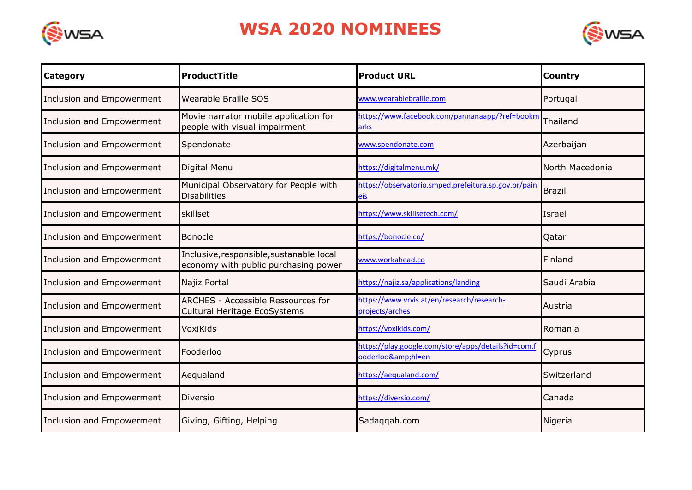

## **WSA 2020 NOMINEES**



| <b>Category</b>           | ProductTitle                                                                     | <b>Product URL</b>                                                    | <b>Country</b>  |
|---------------------------|----------------------------------------------------------------------------------|-----------------------------------------------------------------------|-----------------|
| Inclusion and Empowerment | Wearable Braille SOS                                                             | www.wearablebraille.com                                               | Portugal        |
| Inclusion and Empowerment | Movie narrator mobile application for<br>people with visual impairment           | https://www.facebook.com/pannanaapp/?ref=bookm<br>arks                | Thailand        |
| Inclusion and Empowerment | Spendonate                                                                       | www.spendonate.com                                                    | Azerbaijan      |
| Inclusion and Empowerment | Digital Menu                                                                     | https://digitalmenu.mk/                                               | North Macedonia |
| Inclusion and Empowerment | Municipal Observatory for People with<br><b>Disabilities</b>                     | https://observatorio.smped.prefeitura.sp.gov.br/pain<br>eis           | <b>Brazil</b>   |
| Inclusion and Empowerment | skillset                                                                         | https://www.skillsetech.com/                                          | Israel          |
| Inclusion and Empowerment | <b>Bonocle</b>                                                                   | https://bonocle.co/                                                   | Qatar           |
| Inclusion and Empowerment | Inclusive, responsible, sustanable local<br>economy with public purchasing power | www.workahead.co                                                      | Finland         |
| Inclusion and Empowerment | Najiz Portal                                                                     | https://najiz.sa/applications/landing                                 | Saudi Arabia    |
| Inclusion and Empowerment | <b>ARCHES - Accessible Ressources for</b><br>Cultural Heritage EcoSystems        | https://www.vrvis.at/en/research/research-<br>projects/arches         | Austria         |
| Inclusion and Empowerment | VoxiKids                                                                         | https://voxikids.com/                                                 | Romania         |
| Inclusion and Empowerment | Fooderloo                                                                        | https://play.google.com/store/apps/details?id=com.f<br>ooderloo&hl=en | Cyprus          |
| Inclusion and Empowerment | Aequaland                                                                        | https://aequaland.com/                                                | Switzerland     |
| Inclusion and Empowerment | <b>Diversio</b>                                                                  | https://diversio.com/                                                 | Canada          |
| Inclusion and Empowerment | Giving, Gifting, Helping                                                         | Sadaqqah.com                                                          | Nigeria         |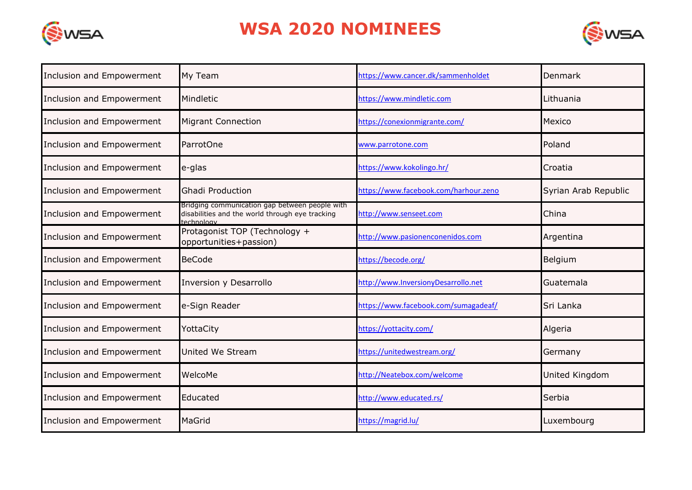

## **WSA 2020 NOMINEES**



| Inclusion and Empowerment | My Team                                                                                                         | https://www.cancer.dk/sammenholdet    | Denmark               |
|---------------------------|-----------------------------------------------------------------------------------------------------------------|---------------------------------------|-----------------------|
| Inclusion and Empowerment | Mindletic                                                                                                       | https://www.mindletic.com             | Lithuania             |
| Inclusion and Empowerment | <b>Migrant Connection</b>                                                                                       | https://conexionmigrante.com/         | Mexico                |
| Inclusion and Empowerment | ParrotOne                                                                                                       | www.parrotone.com                     | Poland                |
| Inclusion and Empowerment | e-glas                                                                                                          | https://www.kokolingo.hr/             | Croatia               |
| Inclusion and Empowerment | <b>Ghadi Production</b>                                                                                         | https://www.facebook.com/harhour.zeno | Syrian Arab Republic  |
| Inclusion and Empowerment | Bridging communication gap between people with<br>disabilities and the world through eye tracking<br>technology | http://www.senseet.com                | China                 |
| Inclusion and Empowerment | Protagonist TOP (Technology +<br>opportunities+passion)                                                         | http://www.pasionenconenidos.com      | Argentina             |
| Inclusion and Empowerment | <b>BeCode</b>                                                                                                   | https://becode.org/                   | Belgium               |
| Inclusion and Empowerment | <b>Inversion y Desarrollo</b>                                                                                   | http://www.InversionyDesarrollo.net   | Guatemala             |
| Inclusion and Empowerment | e-Sign Reader                                                                                                   | https://www.facebook.com/sumagadeaf/  | Sri Lanka             |
| Inclusion and Empowerment | YottaCity                                                                                                       | https://yottacity.com/                | Algeria               |
| Inclusion and Empowerment | <b>United We Stream</b>                                                                                         | https://unitedwestream.org/           | Germany               |
| Inclusion and Empowerment | WelcoMe                                                                                                         | http://Neatebox.com/welcome           | <b>United Kingdom</b> |
| Inclusion and Empowerment | Educated                                                                                                        | http://www.educated.rs/               | Serbia                |
| Inclusion and Empowerment | MaGrid                                                                                                          | https://magrid.lu/                    | Luxembourg            |